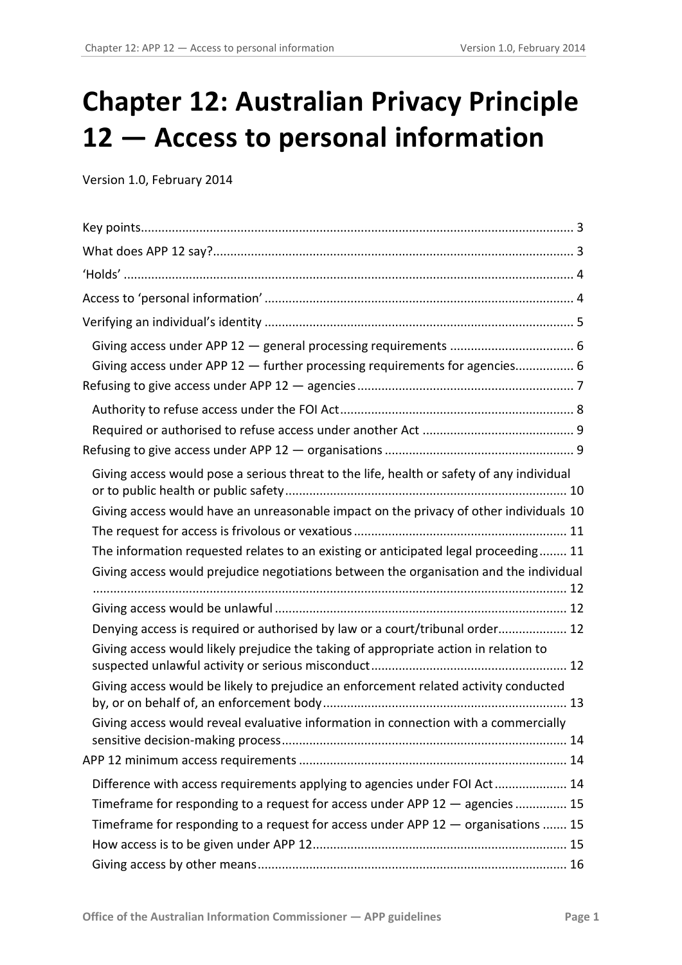# **Chapter 12: Australian Privacy Principle 12 — Access to personal information**

Version 1.0, February 2014

| Giving access under APP 12 - further processing requirements for agencies 6               |  |
|-------------------------------------------------------------------------------------------|--|
|                                                                                           |  |
|                                                                                           |  |
|                                                                                           |  |
|                                                                                           |  |
| Giving access would pose a serious threat to the life, health or safety of any individual |  |
| Giving access would have an unreasonable impact on the privacy of other individuals 10    |  |
|                                                                                           |  |
| The information requested relates to an existing or anticipated legal proceeding 11       |  |
| Giving access would prejudice negotiations between the organisation and the individual    |  |
|                                                                                           |  |
| Denying access is required or authorised by law or a court/tribunal order 12              |  |
| Giving access would likely prejudice the taking of appropriate action in relation to      |  |
| Giving access would be likely to prejudice an enforcement related activity conducted      |  |
| Giving access would reveal evaluative information in connection with a commercially       |  |
|                                                                                           |  |
| Difference with access requirements applying to agencies under FOI Act 14                 |  |
| Timeframe for responding to a request for access under APP 12 - agencies  15              |  |
| Timeframe for responding to a request for access under APP 12 - organisations  15         |  |
|                                                                                           |  |
|                                                                                           |  |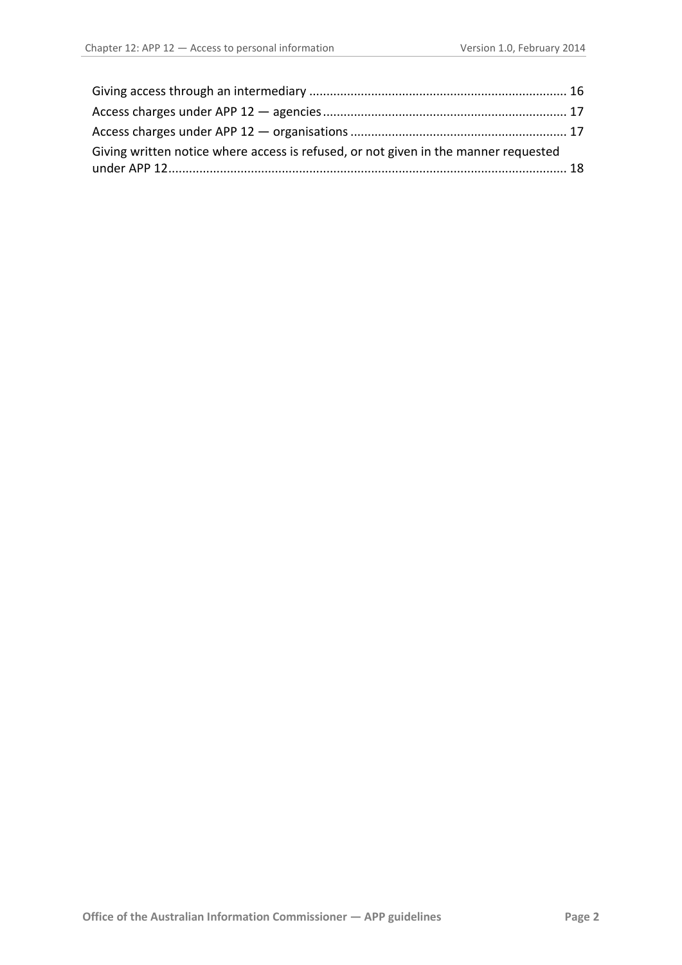<span id="page-1-0"></span>

| Giving written notice where access is refused, or not given in the manner requested |  |
|-------------------------------------------------------------------------------------|--|
|                                                                                     |  |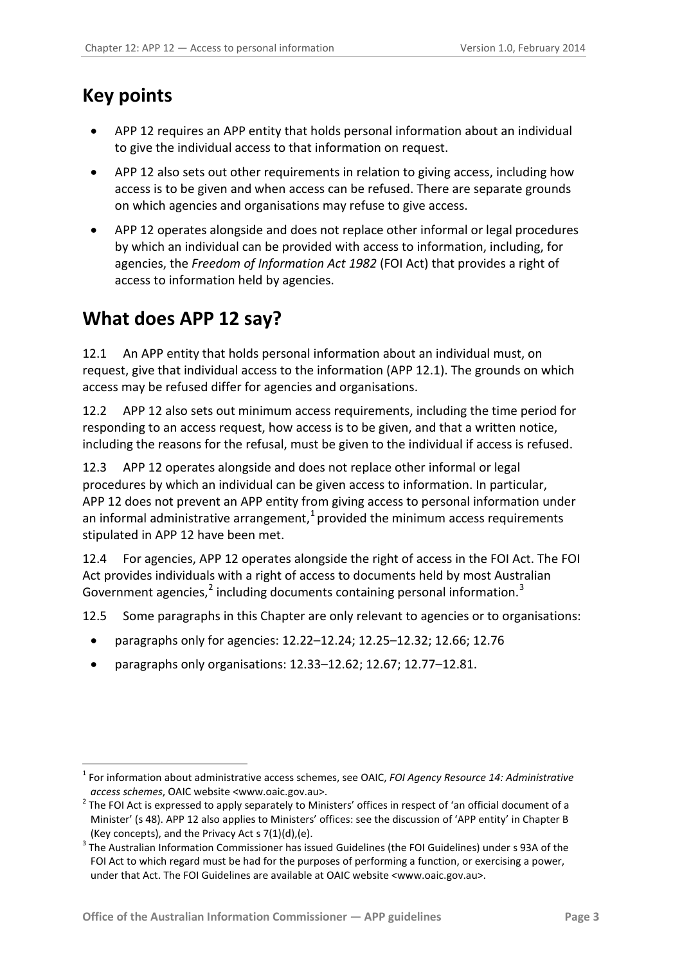# <span id="page-2-0"></span>**Key points**

<u>.</u>

- APP 12 requires an APP entity that holds personal information about an individual to give the individual access to that information on request.
- APP 12 also sets out other requirements in relation to giving access, including how access is to be given and when access can be refused. There are separate grounds on which agencies and organisations may refuse to give access.
- APP 12 operates alongside and does not replace other informal or legal procedures by which an individual can be provided with access to information, including, for agencies, the *Freedom of Information Act 1982* (FOI Act) that provides a right of access to information held by agencies.

# <span id="page-2-1"></span>**What does APP 12 say?**

12.1 An APP entity that holds personal information about an individual must, on request, give that individual access to the information (APP 12.1). The grounds on which access may be refused differ for agencies and organisations.

12.2 APP 12 also sets out minimum access requirements, including the time period for responding to an access request, how access is to be given, and that a written notice, including the reasons for the refusal, must be given to the individual if access is refused.

12.3 APP 12 operates alongside and does not replace other informal or legal procedures by which an individual can be given access to information. In particular, APP 12 does not prevent an APP entity from giving access to personal information under an informal administrative arrangement, $<sup>1</sup>$  $<sup>1</sup>$  $<sup>1</sup>$  provided the minimum access requirements</sup> stipulated in APP 12 have been met.

12.4 For agencies, APP 12 operates alongside the right of access in the FOI Act. The FOI Act provides individuals with a right of access to documents held by most Australian Government agencies,<sup>[2](#page-2-2)</sup> including documents containing personal information.<sup>[3](#page-2-3)</sup>

12.5 Some paragraphs in this Chapter are only relevant to agencies or to organisations:

- paragraphs only for agencies: [12.22–](#page-5-2)[12.24;](#page-6-1) [12.25–](#page-6-2)[12.32;](#page-8-2) [12.66;](#page-14-3) [12.76](#page-16-2)
- paragraphs only organisations: [12.33](#page-8-3)[–12.62;](#page-13-3) [12.67;](#page-14-4) [12.77](#page-16-3)[–12.81.](#page-17-1)

<sup>1</sup> For information about administrative access schemes, see OAIC, *FOI Agency Resource 14: Administrative* 

<span id="page-2-2"></span>*access schemes*, OAIC website <www.oaic.gov.au>. <sup>2</sup> The FOI Act is expressed to apply separately to Ministers' offices in respect of 'an official document of a Minister' (s 48). APP 12 also applies to Ministers' offices: see the discussion of 'APP entity' in Chapter B (Key concepts), and the Privacy Act s 7(1)(d),(e).

<span id="page-2-4"></span><span id="page-2-3"></span><sup>3</sup> The Australian Information Commissioner has issued Guidelines (the FOI Guidelines) under s 93A of the FOI Act to which regard must be had for the purposes of performing a function, or exercising a power, under that Act. The FOI Guidelines are available at OAIC website <www.oaic.gov.au>.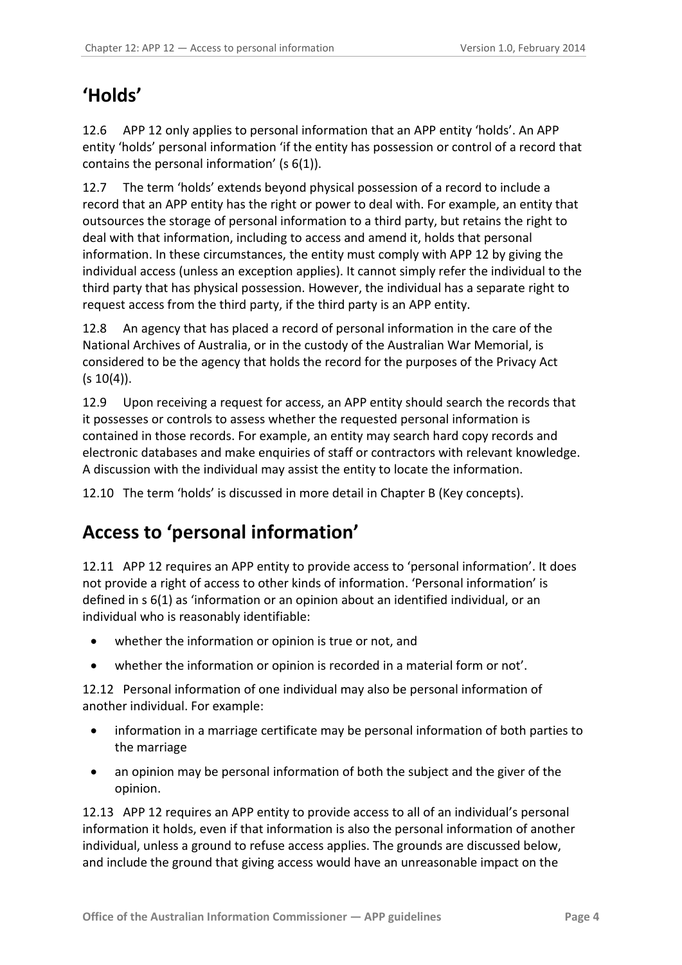# <span id="page-3-0"></span>**'Holds'**

12.6 APP 12 only applies to personal information that an APP entity 'holds'. An APP entity 'holds' personal information 'if the entity has possession or control of a record that contains the personal information' (s 6(1)).

12.7 The term 'holds' extends beyond physical possession of a record to include a record that an APP entity has the right or power to deal with. For example, an entity that outsources the storage of personal information to a third party, but retains the right to deal with that information, including to access and amend it, holds that personal information. In these circumstances, the entity must comply with APP 12 by giving the individual access (unless an exception applies). It cannot simply refer the individual to the third party that has physical possession. However, the individual has a separate right to request access from the third party, if the third party is an APP entity.

12.8 An agency that has placed a record of personal information in the care of the National Archives of Australia, or in the custody of the Australian War Memorial, is considered to be the agency that holds the record for the purposes of the Privacy Act  $(s 10(4))$ .

12.9 Upon receiving a request for access, an APP entity should search the records that it possesses or controls to assess whether the requested personal information is contained in those records. For example, an entity may search hard copy records and electronic databases and make enquiries of staff or contractors with relevant knowledge. A discussion with the individual may assist the entity to locate the information.

12.10 The term 'holds' is discussed in more detail in Chapter B (Key concepts).

# <span id="page-3-1"></span>**Access to 'personal information'**

12.11 APP 12 requires an APP entity to provide access to 'personal information'. It does not provide a right of access to other kinds of information. 'Personal information' is defined in s 6(1) as 'information or an opinion about an identified individual, or an individual who is reasonably identifiable:

- whether the information or opinion is true or not, and
- whether the information or opinion is recorded in a material form or not'.

<span id="page-3-2"></span>12.12 Personal information of one individual may also be personal information of another individual. For example:

- information in a marriage certificate may be personal information of both parties to the marriage
- an opinion may be personal information of both the subject and the giver of the opinion.

12.13 APP 12 requires an APP entity to provide access to all of an individual's personal information it holds, even if that information is also the personal information of another individual, unless a ground to refuse access applies. The grounds are discussed below, and include the ground that giving access would have an unreasonable impact on the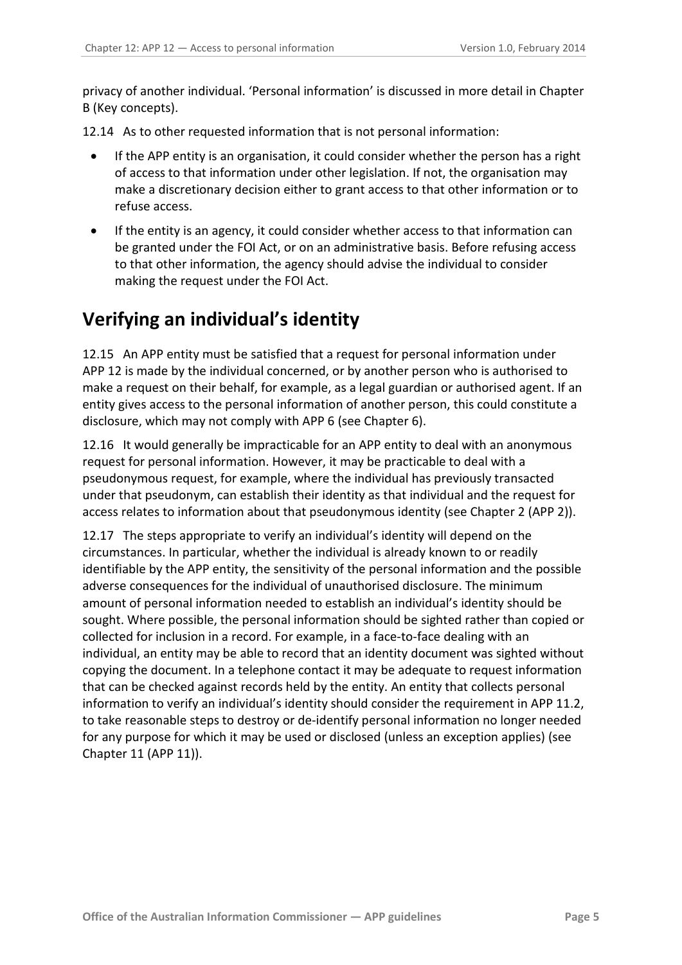privacy of another individual. 'Personal information' is discussed in more detail in Chapter B (Key concepts).

12.14 As to other requested information that is not personal information:

- If the APP entity is an organisation, it could consider whether the person has a right of access to that information under other legislation. If not, the organisation may make a discretionary decision either to grant access to that other information or to refuse access.
- If the entity is an agency, it could consider whether access to that information can be granted under the FOI Act, or on an administrative basis. Before refusing access to that other information, the agency should advise the individual to consider making the request under the FOI Act.

# <span id="page-4-0"></span>**Verifying an individual's identity**

12.15 An APP entity must be satisfied that a request for personal information under APP 12 is made by the individual concerned, or by another person who is authorised to make a request on their behalf, for example, as a legal guardian or authorised agent. If an entity gives access to the personal information of another person, this could constitute a disclosure, which may not comply with APP 6 (see Chapter 6).

12.16 It would generally be impracticable for an APP entity to deal with an anonymous request for personal information. However, it may be practicable to deal with a pseudonymous request, for example, where the individual has previously transacted under that pseudonym, can establish their identity as that individual and the request for access relates to information about that pseudonymous identity (see Chapter 2 (APP 2)).

12.17 The steps appropriate to verify an individual's identity will depend on the circumstances. In particular, whether the individual is already known to or readily identifiable by the APP entity, the sensitivity of the personal information and the possible adverse consequences for the individual of unauthorised disclosure. The minimum amount of personal information needed to establish an individual's identity should be sought. Where possible, the personal information should be sighted rather than copied or collected for inclusion in a record. For example, in a face-to-face dealing with an individual, an entity may be able to record that an identity document was sighted without copying the document. In a telephone contact it may be adequate to request information that can be checked against records held by the entity. An entity that collects personal information to verify an individual's identity should consider the requirement in APP 11.2, to take reasonable steps to destroy or de-identify personal information no longer needed for any purpose for which it may be used or disclosed (unless an exception applies) (see Chapter 11 (APP 11)).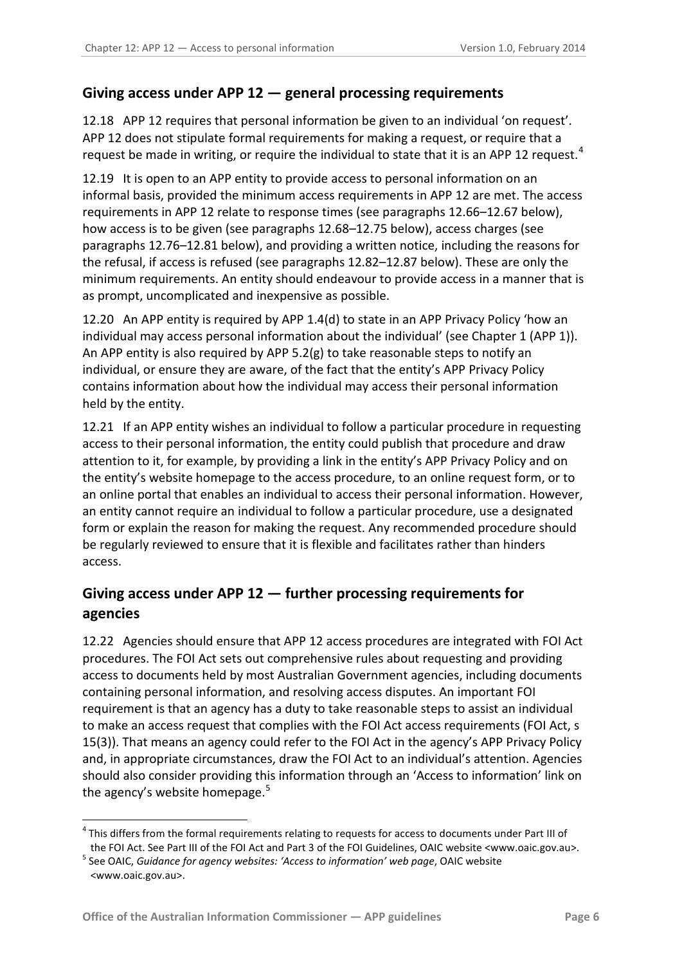### <span id="page-5-0"></span>**Giving access under APP 12 — general processing requirements**

12.18 APP 12 requires that personal information be given to an individual 'on request'. APP 12 does not stipulate formal requirements for making a request, or require that a request be made in writing, or require the individual to state that it is an APP 12 request.<sup>[4](#page-2-4)</sup>

12.19 It is open to an APP entity to provide access to personal information on an informal basis, provided the minimum access requirements in APP 12 are met. The access requirements in APP 12 relate to response times (see paragraphs [12.66](#page-14-3)[–12.67](#page-14-4) below), how access is to be given (see paragraphs [12.68–](#page-14-5)[12.75](#page-16-4) below), access charges (see paragraphs [12.76](#page-16-2)[–12.81](#page-17-1) below), and providing a written notice, including the reasons for the refusal, if access is refused (see paragraphs [12.82](#page-17-2)[–12.87](#page-18-0) below). These are only the minimum requirements. An entity should endeavour to provide access in a manner that is as prompt, uncomplicated and inexpensive as possible.

12.20 An APP entity is required by APP 1.4(d) to state in an APP Privacy Policy 'how an individual may access personal information about the individual' (see Chapter 1 (APP 1)). An APP entity is also required by APP  $5.2(g)$  to take reasonable steps to notify an individual, or ensure they are aware, of the fact that the entity's APP Privacy Policy contains information about how the individual may access their personal information held by the entity.

12.21 If an APP entity wishes an individual to follow a particular procedure in requesting access to their personal information, the entity could publish that procedure and draw attention to it, for example, by providing a link in the entity's APP Privacy Policy and on the entity's website homepage to the access procedure, to an online request form, or to an online portal that enables an individual to access their personal information. However, an entity cannot require an individual to follow a particular procedure, use a designated form or explain the reason for making the request. Any recommended procedure should be regularly reviewed to ensure that it is flexible and facilitates rather than hinders access.

### <span id="page-5-1"></span>**Giving access under APP 12 — further processing requirements for agencies**

<span id="page-5-2"></span>12.22 Agencies should ensure that APP 12 access procedures are integrated with FOI Act procedures. The FOI Act sets out comprehensive rules about requesting and providing access to documents held by most Australian Government agencies, including documents containing personal information, and resolving access disputes. An important FOI requirement is that an agency has a duty to take reasonable steps to assist an individual to make an access request that complies with the FOI Act access requirements (FOI Act, s 15(3)). That means an agency could refer to the FOI Act in the agency's APP Privacy Policy and, in appropriate circumstances, draw the FOI Act to an individual's attention. Agencies should also consider providing this information through an 'Access to information' link on the agency's website homepage.<sup>[5](#page-5-3)</sup>

<sup>&</sup>lt;sup>4</sup> This differs from the formal requirements relating to requests for access to documents under Part III of

<span id="page-5-4"></span><span id="page-5-3"></span>the FOI Act. See Part III of the FOI Act and Part 3 of the FOI Guidelines, OAIC website <www.oaic.gov.au>. 5 See OAIC, *Guidance for agency websites: 'Access to information' web page*, OAIC website <www.oaic.gov.au>.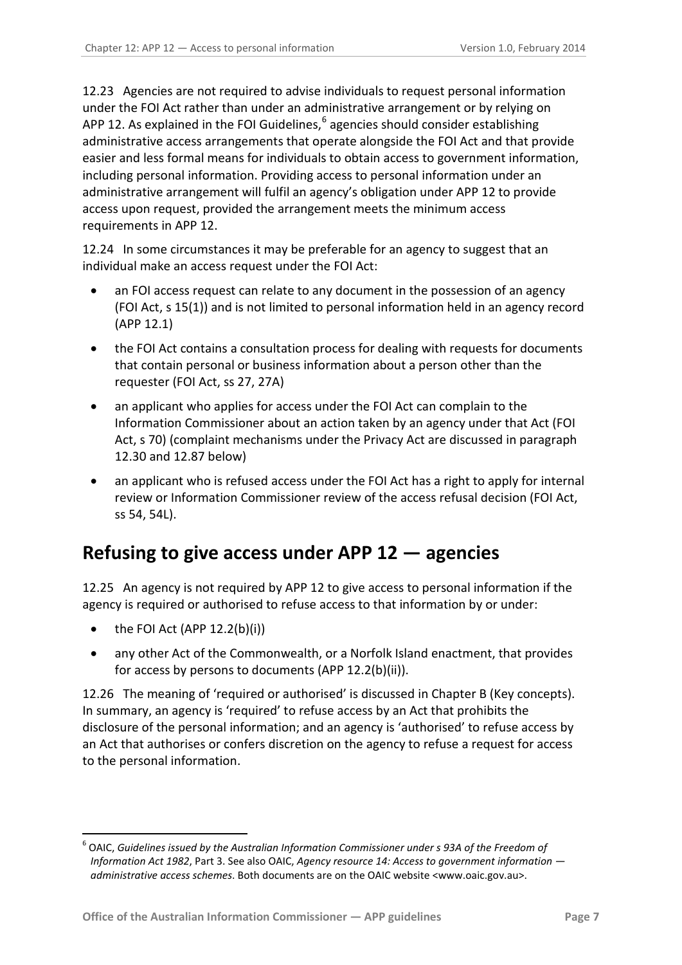12.23 Agencies are not required to advise individuals to request personal information under the FOI Act rather than under an administrative arrangement or by relying on APP 12. As explained in the FOI Guidelines, $6$  agencies should consider establishing administrative access arrangements that operate alongside the FOI Act and that provide easier and less formal means for individuals to obtain access to government information, including personal information. Providing access to personal information under an administrative arrangement will fulfil an agency's obligation under APP 12 to provide access upon request, provided the arrangement meets the minimum access requirements in APP 12.

<span id="page-6-1"></span>12.24 In some circumstances it may be preferable for an agency to suggest that an individual make an access request under the FOI Act:

- an FOI access request can relate to any document in the possession of an agency (FOI Act, s 15(1)) and is not limited to personal information held in an agency record (APP 12.1)
- the FOI Act contains a consultation process for dealing with requests for documents that contain personal or business information about a person other than the requester (FOI Act, ss 27, 27A)
- an applicant who applies for access under the FOI Act can complain to the Information Commissioner about an action taken by an agency under that Act (FOI Act, s 70) (complaint mechanisms under the Privacy Act are discussed in paragraph [12.30](#page-7-1) and [12.87](#page-18-0) below)
- an applicant who is refused access under the FOI Act has a right to apply for internal review or Information Commissioner review of the access refusal decision (FOI Act, ss 54, 54L).

# <span id="page-6-0"></span>**Refusing to give access under APP 12 — agencies**

<span id="page-6-2"></span>12.25 An agency is not required by APP 12 to give access to personal information if the agency is required or authorised to refuse access to that information by or under:

the FOI Act (APP  $12.2(b)(i)$ )

<span id="page-6-3"></span><u>.</u>

• any other Act of the Commonwealth, or a Norfolk Island enactment, that provides for access by persons to documents (APP 12.2(b)(ii)).

12.26 The meaning of 'required or authorised' is discussed in Chapter B (Key concepts). In summary, an agency is 'required' to refuse access by an Act that prohibits the disclosure of the personal information; and an agency is 'authorised' to refuse access by an Act that authorises or confers discretion on the agency to refuse a request for access to the personal information.

<sup>6</sup> OAIC, *Guidelines issued by the Australian Information Commissioner under s 93A of the Freedom of Information Act 1982*, Part 3. See also OAIC, *Agency resource 14: Access to government information administrative access schemes*. Both documents are on the OAIC website <www.oaic.gov.au>.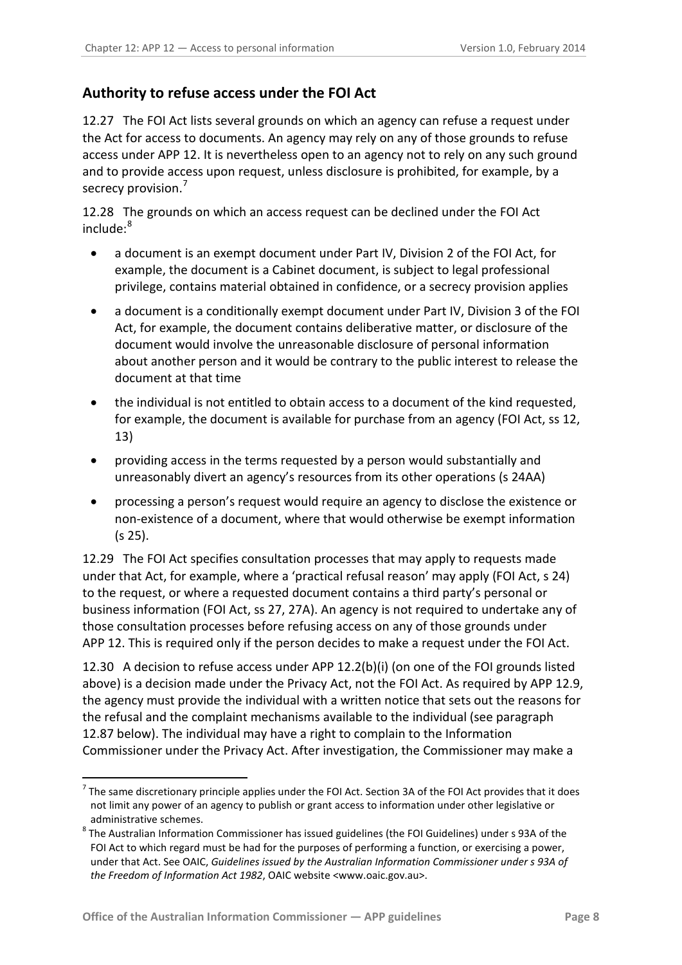### <span id="page-7-0"></span>**Authority to refuse access under the FOI Act**

12.27 The FOI Act lists several grounds on which an agency can refuse a request under the Act for access to documents. An agency may rely on any of those grounds to refuse access under APP 12. It is nevertheless open to an agency not to rely on any such ground and to provide access upon request, unless disclosure is prohibited, for example, by a secrecy provision.<sup>[7](#page-6-3)</sup>

12.28 The grounds on which an access request can be declined under the FOI Act include: [8](#page-7-2)

- a document is an exempt document under Part IV, Division 2 of the FOI Act, for example, the document is a Cabinet document, is subject to legal professional privilege, contains material obtained in confidence, or a secrecy provision applies
- a document is a conditionally exempt document under Part IV, Division 3 of the FOI Act, for example, the document contains deliberative matter, or disclosure of the document would involve the unreasonable disclosure of personal information about another person and it would be contrary to the public interest to release the document at that time
- the individual is not entitled to obtain access to a document of the kind requested, for example, the document is available for purchase from an agency (FOI Act, ss 12, 13)
- providing access in the terms requested by a person would substantially and unreasonably divert an agency's resources from its other operations (s 24AA)
- processing a person's request would require an agency to disclose the existence or non-existence of a document, where that would otherwise be exempt information (s 25).

12.29 The FOI Act specifies consultation processes that may apply to requests made under that Act, for example, where a 'practical refusal reason' may apply (FOI Act, s 24) to the request, or where a requested document contains a third party's personal or business information (FOI Act, ss 27, 27A). An agency is not required to undertake any of those consultation processes before refusing access on any of those grounds under APP 12. This is required only if the person decides to make a request under the FOI Act.

<span id="page-7-1"></span>12.30 A decision to refuse access under APP 12.2(b)(i) (on one of the FOI grounds listed above) is a decision made under the Privacy Act, not the FOI Act. As required by APP 12.9, the agency must provide the individual with a written notice that sets out the reasons for the refusal and the complaint mechanisms available to the individual (see paragraph [12.87](#page-18-0) below). The individual may have a right to complain to the Information Commissioner under the Privacy Act. After investigation, the Commissioner may make a

<u>.</u>

 $7$  The same discretionary principle applies under the FOI Act. Section 3A of the FOI Act provides that it does not limit any power of an agency to publish or grant access to information under other legislative or administrative schemes.<br><sup>8</sup> The Australian Information Commissioner has issued guidelines (the FOI Guidelines) under s 93A of the

<span id="page-7-3"></span><span id="page-7-2"></span>FOI Act to which regard must be had for the purposes of performing a function, or exercising a power, under that Act. See OAIC, *Guidelines issued by the Australian Information Commissioner under s 93A of the Freedom of Information Act 1982*, OAIC website <www.oaic.gov.au>.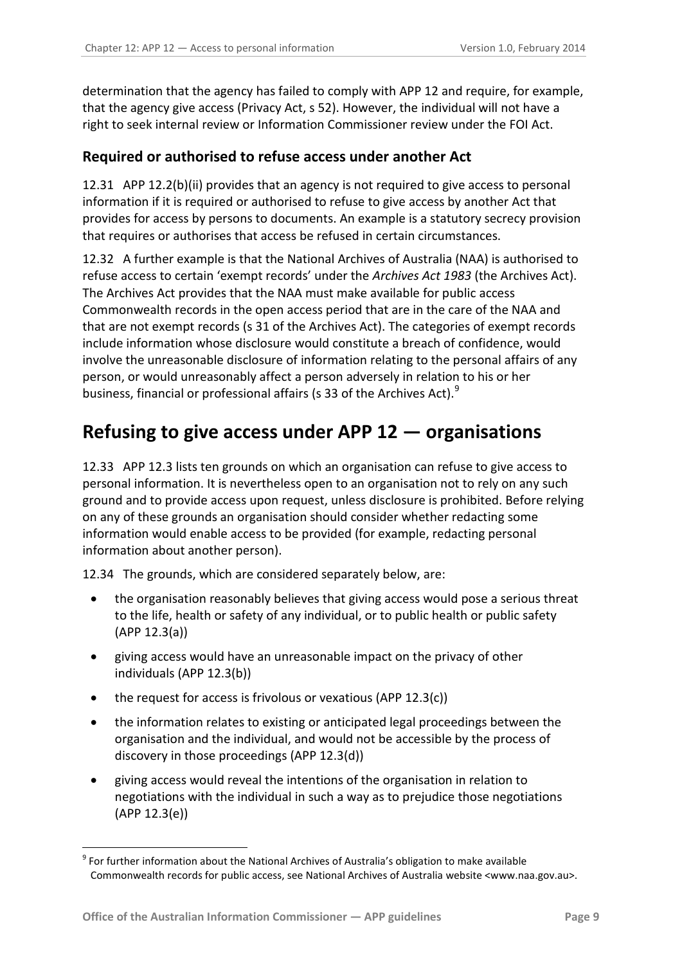determination that the agency has failed to comply with APP 12 and require, for example, that the agency give access (Privacy Act, s 52). However, the individual will not have a right to seek internal review or Information Commissioner review under the FOI Act.

#### <span id="page-8-0"></span>**Required or authorised to refuse access under another Act**

12.31 APP 12.2(b)(ii) provides that an agency is not required to give access to personal information if it is required or authorised to refuse to give access by another Act that provides for access by persons to documents. An example is a statutory secrecy provision that requires or authorises that access be refused in certain circumstances.

<span id="page-8-2"></span>12.32 A further example is that the National Archives of Australia (NAA) is authorised to refuse access to certain 'exempt records' under the *Archives Act 1983* (the Archives Act). The Archives Act provides that the NAA must make available for public access Commonwealth records in the open access period that are in the care of the NAA and that are not exempt records (s 31 of the Archives Act). The categories of exempt records include information whose disclosure would constitute a breach of confidence, would involve the unreasonable disclosure of information relating to the personal affairs of any person, or would unreasonably affect a person adversely in relation to his or her business, financial or professional affairs (s 33 of the Archives Act).<sup>[9](#page-7-3)</sup>

# <span id="page-8-1"></span>**Refusing to give access under APP 12 — organisations**

<span id="page-8-3"></span>12.33 APP 12.3 lists ten grounds on which an organisation can refuse to give access to personal information. It is nevertheless open to an organisation not to rely on any such ground and to provide access upon request, unless disclosure is prohibited. Before relying on any of these grounds an organisation should consider whether redacting some information would enable access to be provided (for example, redacting personal information about another person).

12.34 The grounds, which are considered separately below, are:

- the organisation reasonably believes that giving access would pose a serious threat to the life, health or safety of any individual, or to public health or public safety (APP 12.3(a))
- giving access would have an unreasonable impact on the privacy of other individuals (APP 12.3(b))
- the request for access is frivolous or vexatious (APP 12.3(c))
- the information relates to existing or anticipated legal proceedings between the organisation and the individual, and would not be accessible by the process of discovery in those proceedings (APP 12.3(d))
- giving access would reveal the intentions of the organisation in relation to negotiations with the individual in such a way as to prejudice those negotiations (APP 12.3(e))

<span id="page-8-4"></span><sup>&</sup>lt;sup>9</sup> For further information about the National Archives of Australia's obligation to make available Commonwealth records for public access, see National Archives of Australia website <www.naa.gov.au>.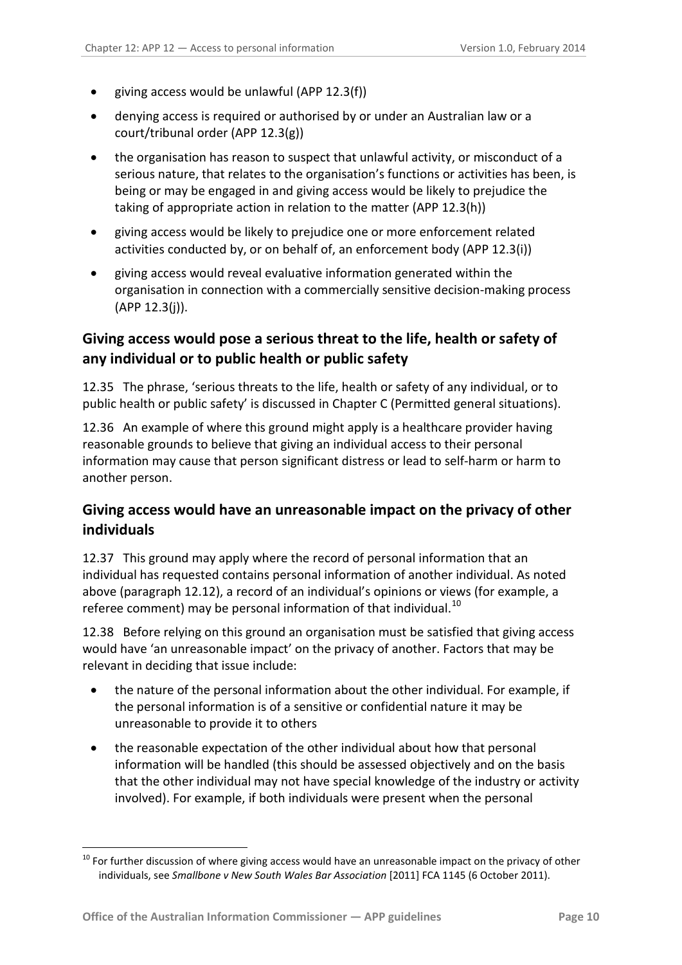- giving access would be unlawful (APP 12.3(f))
- denying access is required or authorised by or under an Australian law or a court/tribunal order (APP 12.3(g))
- the organisation has reason to suspect that unlawful activity, or misconduct of a serious nature, that relates to the organisation's functions or activities has been, is being or may be engaged in and giving access would be likely to prejudice the taking of appropriate action in relation to the matter (APP 12.3(h))
- giving access would be likely to prejudice one or more enforcement related activities conducted by, or on behalf of, an enforcement body (APP 12.3(i))
- giving access would reveal evaluative information generated within the organisation in connection with a commercially sensitive decision-making process (APP 12.3(j)).

### <span id="page-9-0"></span>**Giving access would pose a serious threat to the life, health or safety of any individual or to public health or public safety**

12.35 The phrase, 'serious threats to the life, health or safety of any individual, or to public health or public safety' is discussed in Chapter C (Permitted general situations).

12.36 An example of where this ground might apply is a healthcare provider having reasonable grounds to believe that giving an individual access to their personal information may cause that person significant distress or lead to self-harm or harm to another person.

## <span id="page-9-1"></span>**Giving access would have an unreasonable impact on the privacy of other individuals**

12.37 This ground may apply where the record of personal information that an individual has requested contains personal information of another individual. As noted above (paragraph [12.12\)](#page-3-2), a record of an individual's opinions or views (for example, a referee comment) may be personal information of that individual.<sup>[10](#page-8-4)</sup>

12.38 Before relying on this ground an organisation must be satisfied that giving access would have 'an unreasonable impact' on the privacy of another. Factors that may be relevant in deciding that issue include:

- the nature of the personal information about the other individual. For example, if the personal information is of a sensitive or confidential nature it may be unreasonable to provide it to others
- the reasonable expectation of the other individual about how that personal information will be handled (this should be assessed objectively and on the basis that the other individual may not have special knowledge of the industry or activity involved). For example, if both individuals were present when the personal

<span id="page-9-2"></span><sup>&</sup>lt;sup>10</sup> For further discussion of where giving access would have an unreasonable impact on the privacy of other individuals, see *Smallbone v New South Wales Bar Association* [2011] FCA 1145 (6 October 2011).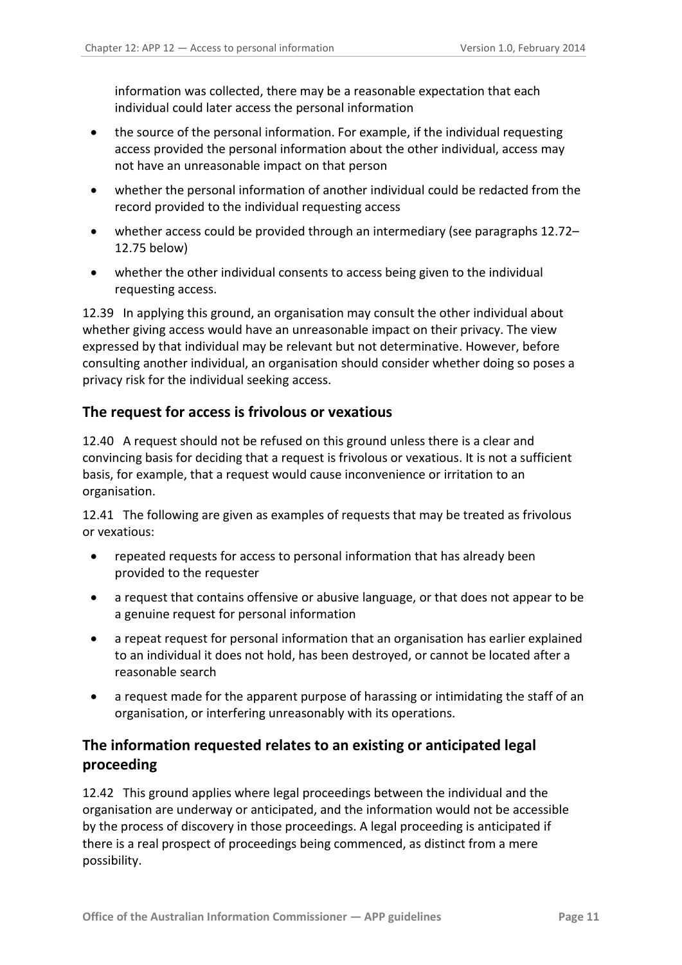information was collected, there may be a reasonable expectation that each individual could later access the personal information

- the source of the personal information. For example, if the individual requesting access provided the personal information about the other individual, access may not have an unreasonable impact on that person
- whether the personal information of another individual could be redacted from the record provided to the individual requesting access
- whether access could be provided through an intermediary (see paragraphs [12.72–](#page-15-2) [12.75](#page-16-4) below)
- whether the other individual consents to access being given to the individual requesting access.

12.39 In applying this ground, an organisation may consult the other individual about whether giving access would have an unreasonable impact on their privacy. The view expressed by that individual may be relevant but not determinative. However, before consulting another individual, an organisation should consider whether doing so poses a privacy risk for the individual seeking access.

#### <span id="page-10-0"></span>**The request for access is frivolous or vexatious**

12.40 A request should not be refused on this ground unless there is a clear and convincing basis for deciding that a request is frivolous or vexatious. It is not a sufficient basis, for example, that a request would cause inconvenience or irritation to an organisation.

12.41 The following are given as examples of requests that may be treated as frivolous or vexatious:

- repeated requests for access to personal information that has already been provided to the requester
- a request that contains offensive or abusive language, or that does not appear to be a genuine request for personal information
- a repeat request for personal information that an organisation has earlier explained to an individual it does not hold, has been destroyed, or cannot be located after a reasonable search
- a request made for the apparent purpose of harassing or intimidating the staff of an organisation, or interfering unreasonably with its operations.

### <span id="page-10-1"></span>**The information requested relates to an existing or anticipated legal proceeding**

12.42 This ground applies where legal proceedings between the individual and the organisation are underway or anticipated, and the information would not be accessible by the process of discovery in those proceedings. A legal proceeding is anticipated if there is a real prospect of proceedings being commenced, as distinct from a mere possibility.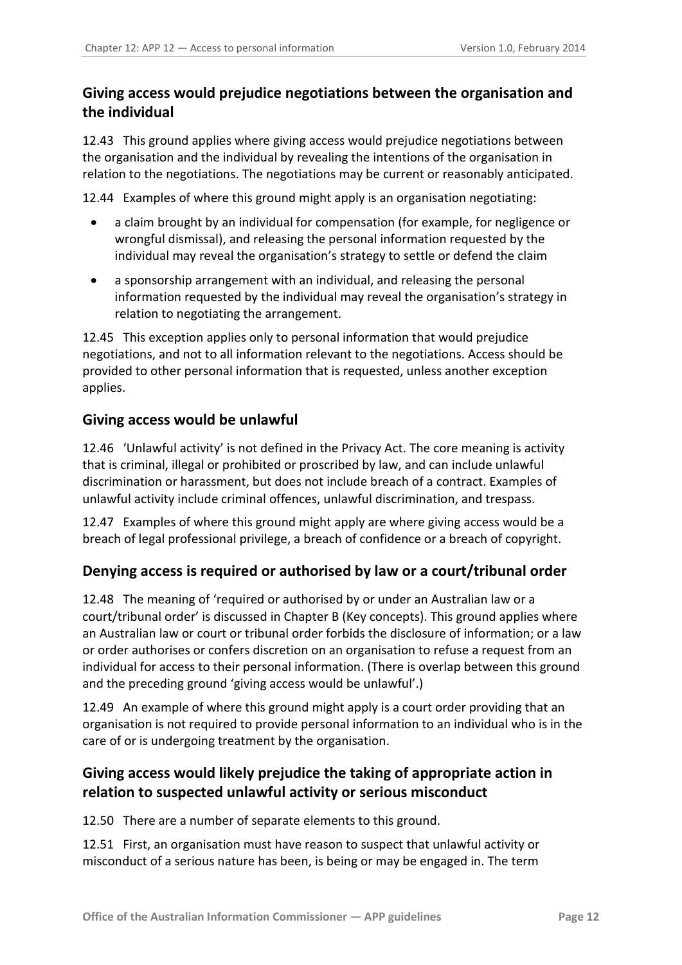## <span id="page-11-0"></span>**Giving access would prejudice negotiations between the organisation and the individual**

12.43 This ground applies where giving access would prejudice negotiations between the organisation and the individual by revealing the intentions of the organisation in relation to the negotiations. The negotiations may be current or reasonably anticipated.

12.44 Examples of where this ground might apply is an organisation negotiating:

- a claim brought by an individual for compensation (for example, for negligence or wrongful dismissal), and releasing the personal information requested by the individual may reveal the organisation's strategy to settle or defend the claim
- a sponsorship arrangement with an individual, and releasing the personal information requested by the individual may reveal the organisation's strategy in relation to negotiating the arrangement.

12.45 This exception applies only to personal information that would prejudice negotiations, and not to all information relevant to the negotiations. Access should be provided to other personal information that is requested, unless another exception applies.

#### <span id="page-11-1"></span>**Giving access would be unlawful**

12.46 'Unlawful activity' is not defined in the Privacy Act. The core meaning is activity that is criminal, illegal or prohibited or proscribed by law, and can include unlawful discrimination or harassment, but does not include breach of a contract. Examples of unlawful activity include criminal offences, unlawful discrimination, and trespass.

12.47 Examples of where this ground might apply are where giving access would be a breach of legal professional privilege, a breach of confidence or a breach of copyright.

#### <span id="page-11-2"></span>**Denying access is required or authorised by law or a court/tribunal order**

12.48 The meaning of 'required or authorised by or under an Australian law or a court/tribunal order' is discussed in Chapter B (Key concepts). This ground applies where an Australian law or court or tribunal order forbids the disclosure of information; or a law or order authorises or confers discretion on an organisation to refuse a request from an individual for access to their personal information. (There is overlap between this ground and the preceding ground 'giving access would be unlawful'.)

12.49 An example of where this ground might apply is a court order providing that an organisation is not required to provide personal information to an individual who is in the care of or is undergoing treatment by the organisation.

## <span id="page-11-3"></span>**Giving access would likely prejudice the taking of appropriate action in relation to suspected unlawful activity or serious misconduct**

12.50 There are a number of separate elements to this ground.

12.51 First, an organisation must have reason to suspect that unlawful activity or misconduct of a serious nature has been, is being or may be engaged in. The term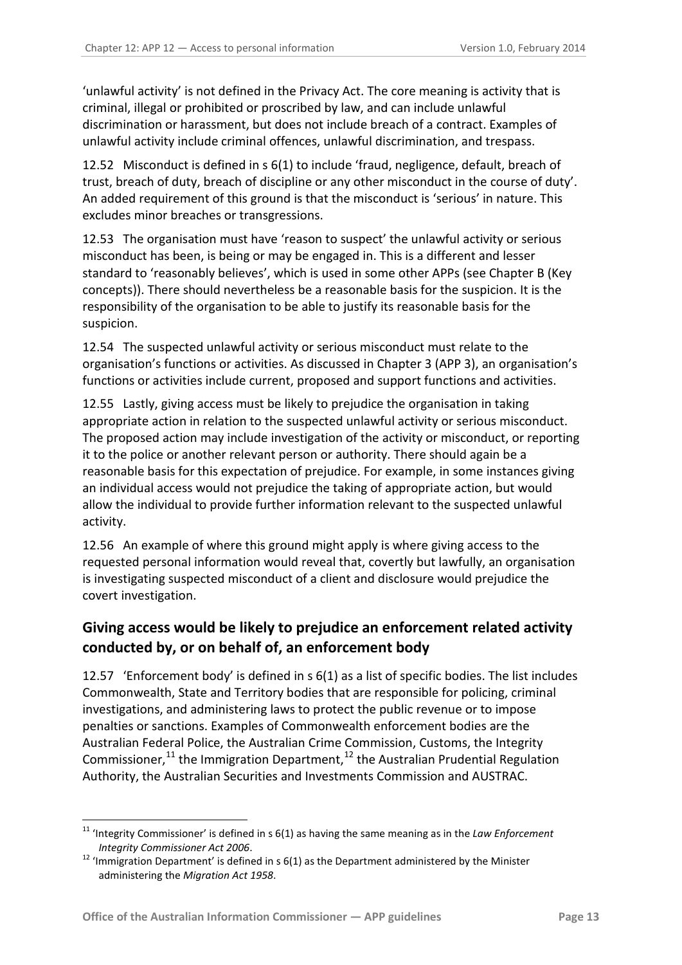'unlawful activity' is not defined in the Privacy Act. The core meaning is activity that is criminal, illegal or prohibited or proscribed by law, and can include unlawful discrimination or harassment, but does not include breach of a contract. Examples of unlawful activity include criminal offences, unlawful discrimination, and trespass.

12.52 Misconduct is defined in s 6(1) to include 'fraud, negligence, default, breach of trust, breach of duty, breach of discipline or any other misconduct in the course of duty'. An added requirement of this ground is that the misconduct is 'serious' in nature. This excludes minor breaches or transgressions.

12.53 The organisation must have 'reason to suspect' the unlawful activity or serious misconduct has been, is being or may be engaged in. This is a different and lesser standard to 'reasonably believes', which is used in some other APPs (see Chapter B (Key concepts)). There should nevertheless be a reasonable basis for the suspicion. It is the responsibility of the organisation to be able to justify its reasonable basis for the suspicion.

12.54 The suspected unlawful activity or serious misconduct must relate to the organisation's functions or activities. As discussed in Chapter 3 (APP 3), an organisation's functions or activities include current, proposed and support functions and activities.

12.55 Lastly, giving access must be likely to prejudice the organisation in taking appropriate action in relation to the suspected unlawful activity or serious misconduct. The proposed action may include investigation of the activity or misconduct, or reporting it to the police or another relevant person or authority. There should again be a reasonable basis for this expectation of prejudice. For example, in some instances giving an individual access would not prejudice the taking of appropriate action, but would allow the individual to provide further information relevant to the suspected unlawful activity.

12.56 An example of where this ground might apply is where giving access to the requested personal information would reveal that, covertly but lawfully, an organisation is investigating suspected misconduct of a client and disclosure would prejudice the covert investigation.

## <span id="page-12-0"></span>**Giving access would be likely to prejudice an enforcement related activity conducted by, or on behalf of, an enforcement body**

12.57 'Enforcement body' is defined in s 6(1) as a list of specific bodies. The list includes Commonwealth, State and Territory bodies that are responsible for policing, criminal investigations, and administering laws to protect the public revenue or to impose penalties or sanctions. Examples of Commonwealth enforcement bodies are the Australian Federal Police, the Australian Crime Commission, Customs, the [Integrity](http://www.austlii.edu.au/au/legis/cth/consol_act/pa1988108/s6.html#integrity_commissioner)  [Commissioner,](http://www.austlii.edu.au/au/legis/cth/consol_act/pa1988108/s6.html#integrity_commissioner) $^{11}$  $^{11}$  $^{11}$  the Immigration Department, $^{12}$  $^{12}$  $^{12}$  the Australian Prudential Regulation Authority, the Australian Securities and Investments Commission and AUSTRAC.

<sup>&</sup>lt;sup>11</sup> 'Integrity Commissioner' is defined in s 6(1) as having the same meaning as in the *Law Enforcement* 

<span id="page-12-2"></span><span id="page-12-1"></span>*Integrity Commissioner Act 2006*.<br><sup>12</sup> 'Immigration Department' is defined in s 6(1) as the Department administered by the Minister administering the *Migration Act 1958*.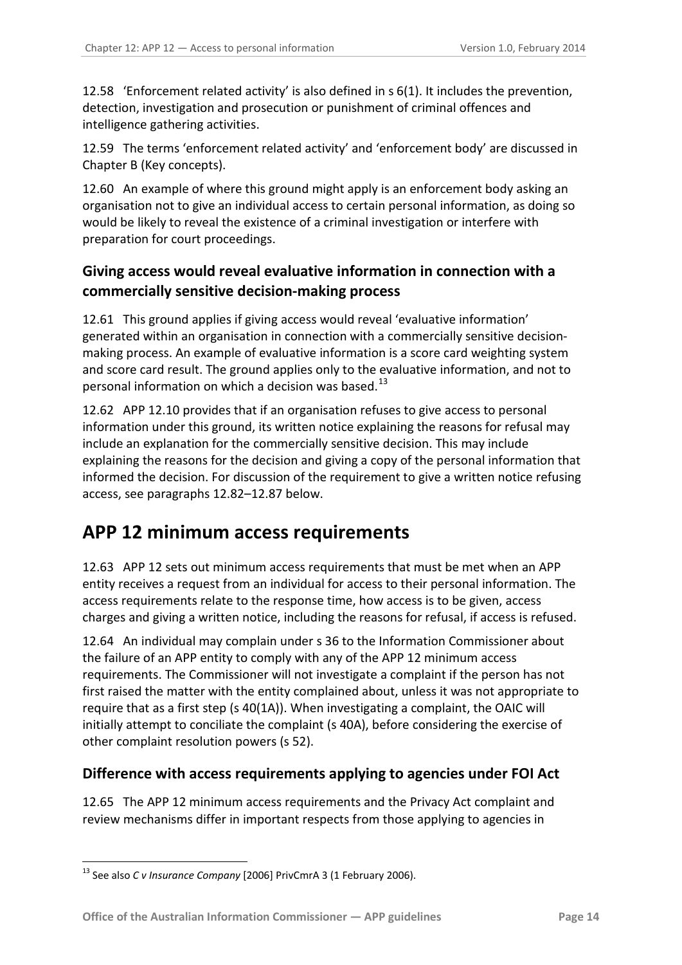12.58 'Enforcement related activity' is also defined in s 6(1). It includes the prevention, detection, investigation and prosecution or punishment of criminal offences and intelligence gathering activities.

12.59 The terms 'enforcement related activity' and 'enforcement body' are discussed in Chapter B (Key concepts).

12.60 An example of where this ground might apply is an enforcement body asking an organisation not to give an individual access to certain personal information, as doing so would be likely to reveal the existence of a criminal investigation or interfere with preparation for court proceedings.

### <span id="page-13-0"></span>**Giving access would reveal evaluative information in connection with a commercially sensitive decision-making process**

<span id="page-13-5"></span>12.61 This ground applies if giving access would reveal 'evaluative information' generated within an organisation in connection with a commercially sensitive decisionmaking process. An example of evaluative information is a score card weighting system and score card result. The ground applies only to the evaluative information, and not to personal information on which a decision was based.<sup>13</sup>

<span id="page-13-3"></span>12.62 APP 12.10 provides that if an organisation refuses to give access to personal information under this ground, its written notice explaining the reasons for refusal may include an explanation for the commercially sensitive decision. This may include explaining the reasons for the decision and giving a copy of the personal information that informed the decision. For discussion of the requirement to give a written notice refusing access, see paragraphs [12.82](#page-17-2)[–12.87](#page-18-0) below.

# <span id="page-13-1"></span>**APP 12 minimum access requirements**

12.63 APP 12 sets out minimum access requirements that must be met when an APP entity receives a request from an individual for access to their personal information. The access requirements relate to the response time, how access is to be given, access charges and giving a written notice, including the reasons for refusal, if access is refused.

12.64 An individual may complain under s 36 to the Information Commissioner about the failure of an APP entity to comply with any of the APP 12 minimum access requirements. The Commissioner will not investigate a complaint if the person has not first raised the matter with the entity complained about, unless it was not appropriate to require that as a first step (s 40(1A)). When investigating a complaint, the OAIC will initially attempt to conciliate the complaint (s 40A), before considering the exercise of other complaint resolution powers (s 52).

#### <span id="page-13-2"></span>**Difference with access requirements applying to agencies under FOI Act**

12.65 The APP 12 minimum access requirements and the Privacy Act complaint and review mechanisms differ in important respects from those applying to agencies in

<span id="page-13-4"></span><sup>&</sup>lt;u>.</u> <sup>13</sup> See also *C v Insurance Company* [2006] PrivCmrA 3 (1 February 2006).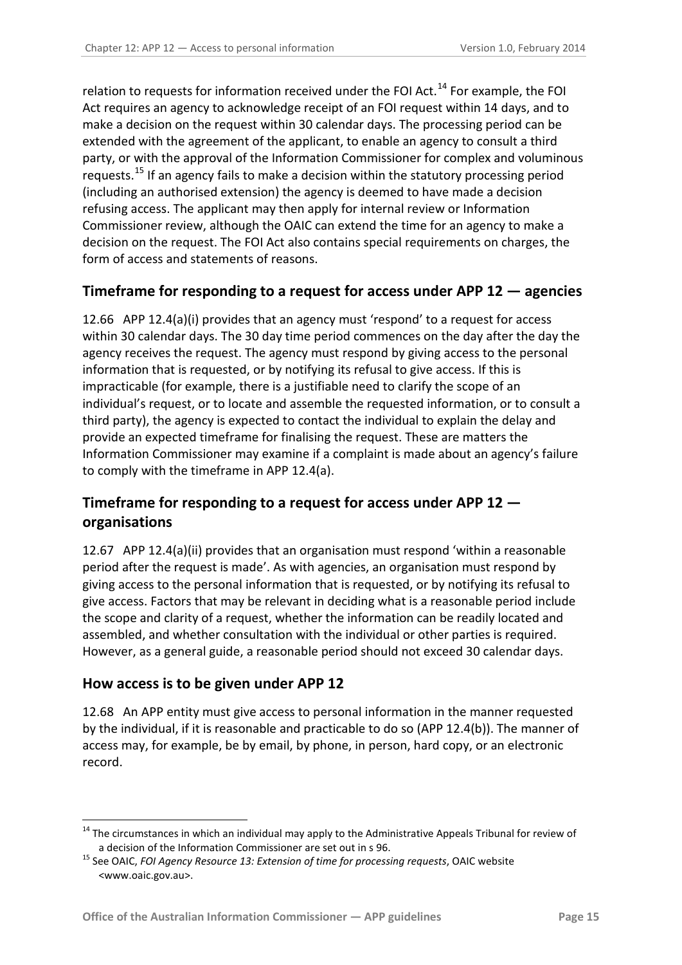relation to requests for information received under the FOI Act.<sup>[14](#page-13-4)</sup> For example, the FOI Act requires an agency to acknowledge receipt of an FOI request within 14 days, and to make a decision on the request within 30 calendar days. The processing period can be extended with the agreement of the applicant, to enable an agency to consult a third party, or with the approval of the Information Commissioner for complex and voluminous requests.<sup>[15](#page-14-6)</sup> If an agency fails to make a decision within the statutory processing period (including an authorised extension) the agency is deemed to have made a decision refusing access. The applicant may then apply for internal review or Information Commissioner review, although the OAIC can extend the time for an agency to make a decision on the request. The FOI Act also contains special requirements on charges, the form of access and statements of reasons.

#### <span id="page-14-0"></span>**Timeframe for responding to a request for access under APP 12 — agencies**

<span id="page-14-3"></span>12.66 APP 12.4(a)(i) provides that an agency must 'respond' to a request for access within 30 calendar days. The 30 day time period commences on the day after the day the agency receives the request. The agency must respond by giving access to the personal information that is requested, or by notifying its refusal to give access. If this is impracticable (for example, there is a justifiable need to clarify the scope of an individual's request, or to locate and assemble the requested information, or to consult a third party), the agency is expected to contact the individual to explain the delay and provide an expected timeframe for finalising the request. These are matters the Information Commissioner may examine if a complaint is made about an agency's failure to comply with the timeframe in APP 12.4(a).

# <span id="page-14-1"></span>**Timeframe for responding to a request for access under APP 12 organisations**

<span id="page-14-4"></span>12.67 APP 12.4(a)(ii) provides that an organisation must respond 'within a reasonable period after the request is made'. As with agencies, an organisation must respond by giving access to the personal information that is requested, or by notifying its refusal to give access. Factors that may be relevant in deciding what is a reasonable period include the scope and clarity of a request, whether the information can be readily located and assembled, and whether consultation with the individual or other parties is required. However, as a general guide, a reasonable period should not exceed 30 calendar days.

#### <span id="page-14-2"></span>**How access is to be given under APP 12**

1

<span id="page-14-5"></span>12.68 An APP entity must give access to personal information in the manner requested by the individual, if it is reasonable and practicable to do so (APP 12.4(b)). The manner of access may, for example, be by email, by phone, in person, hard copy, or an electronic record.

<sup>&</sup>lt;sup>14</sup> The circumstances in which an individual may apply to the Administrative Appeals Tribunal for review of

<span id="page-14-7"></span><span id="page-14-6"></span>a decision of the Information Commissioner are set out in s 96. <sup>15</sup> See OAIC, *FOI Agency Resource 13: Extension of time for processing requests*, OAIC website <www.oaic.gov.au>.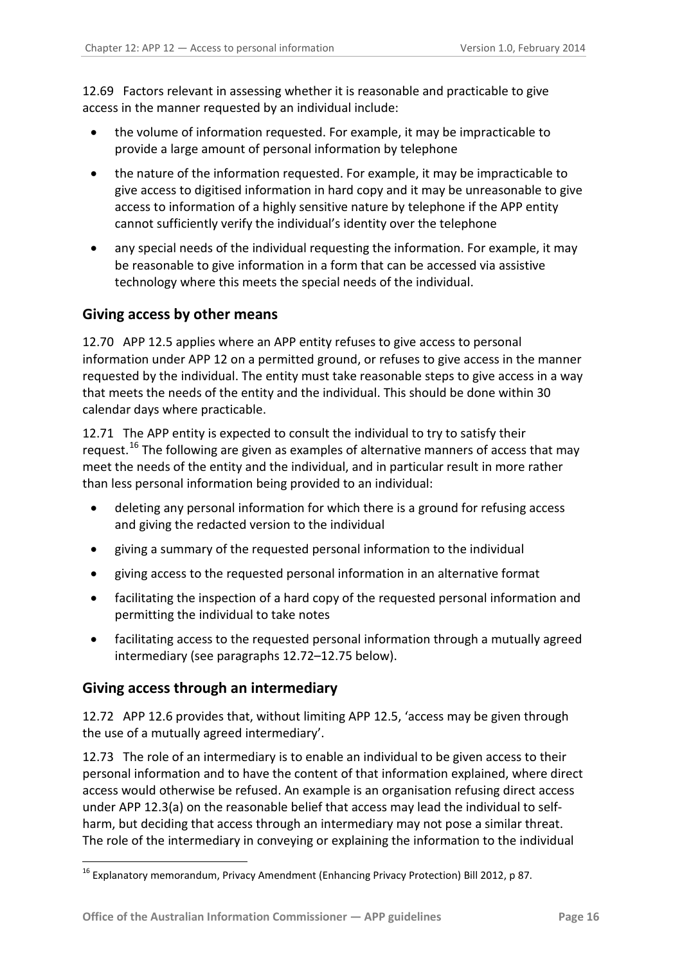12.69 Factors relevant in assessing whether it is reasonable and practicable to give access in the manner requested by an individual include:

- the volume of information requested. For example, it may be impracticable to provide a large amount of personal information by telephone
- the nature of the information requested. For example, it may be impracticable to give access to digitised information in hard copy and it may be unreasonable to give access to information of a highly sensitive nature by telephone if the APP entity cannot sufficiently verify the individual's identity over the telephone
- any special needs of the individual requesting the information. For example, it may be reasonable to give information in a form that can be accessed via assistive technology where this meets the special needs of the individual.

#### <span id="page-15-0"></span>**Giving access by other means**

<span id="page-15-3"></span>12.70 APP 12.5 applies where an APP entity refuses to give access to personal information under APP 12 on a permitted ground, or refuses to give access in the manner requested by the individual. The entity must take reasonable steps to give access in a way that meets the needs of the entity and the individual. This should be done within 30 calendar days where practicable.

<span id="page-15-4"></span>12.71 The APP entity is expected to consult the individual to try to satisfy their request.<sup>[16](#page-14-7)</sup> The following are given as examples of alternative manners of access that may meet the needs of the entity and the individual, and in particular result in more rather than less personal information being provided to an individual:

- deleting any personal information for which there is a ground for refusing access and giving the redacted version to the individual
- giving a summary of the requested personal information to the individual
- giving access to the requested personal information in an alternative format
- facilitating the inspection of a hard copy of the requested personal information and permitting the individual to take notes
- facilitating access to the requested personal information through a mutually agreed intermediary (see paragraphs [12.72](#page-15-2)[–12.75](#page-16-4) below).

#### <span id="page-15-1"></span>**Giving access through an intermediary**

<u>.</u>

<span id="page-15-2"></span>12.72 APP 12.6 provides that, without limiting APP 12.5, 'access may be given through the use of a mutually agreed intermediary'.

12.73 The role of an intermediary is to enable an individual to be given access to their personal information and to have the content of that information explained, where direct access would otherwise be refused. An example is an organisation refusing direct access under APP 12.3(a) on the reasonable belief that access may lead the individual to selfharm, but deciding that access through an intermediary may not pose a similar threat. The role of the intermediary in conveying or explaining the information to the individual

<sup>16</sup> Explanatory memorandum, Privacy Amendment (Enhancing Privacy Protection) Bill 2012, p 87.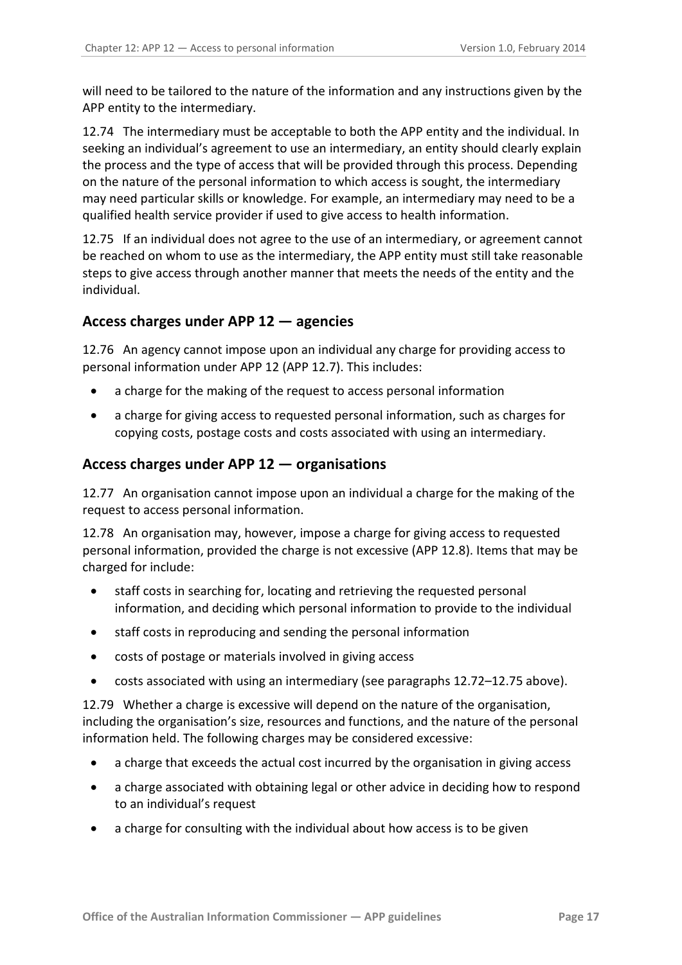will need to be tailored to the nature of the information and any instructions given by the APP entity to the intermediary.

12.74 The intermediary must be acceptable to both the APP entity and the individual. In seeking an individual's agreement to use an intermediary, an entity should clearly explain the process and the type of access that will be provided through this process. Depending on the nature of the personal information to which access is sought, the intermediary may need particular skills or knowledge. For example, an intermediary may need to be a qualified health service provider if used to give access to health information.

<span id="page-16-4"></span>12.75 If an individual does not agree to the use of an intermediary, or agreement cannot be reached on whom to use as the intermediary, the APP entity must still take reasonable steps to give access through another manner that meets the needs of the entity and the individual.

#### <span id="page-16-0"></span>**Access charges under APP 12 — agencies**

<span id="page-16-2"></span>12.76 An agency cannot impose upon an individual any charge for providing access to personal information under APP 12 (APP 12.7). This includes:

- a charge for the making of the request to access personal information
- a charge for giving access to requested personal information, such as charges for copying costs, postage costs and costs associated with using an intermediary.

#### <span id="page-16-1"></span>**Access charges under APP 12 — organisations**

<span id="page-16-3"></span>12.77 An organisation cannot impose upon an individual a charge for the making of the request to access personal information.

12.78 An organisation may, however, impose a charge for giving access to requested personal information, provided the charge is not excessive (APP 12.8). Items that may be charged for include:

- staff costs in searching for, locating and retrieving the requested personal information, and deciding which personal information to provide to the individual
- staff costs in reproducing and sending the personal information
- costs of postage or materials involved in giving access
- costs associated with using an intermediary (see paragraphs [12.72–](#page-15-2)[12.75](#page-16-4) above).

12.79 Whether a charge is excessive will depend on the nature of the organisation, including the organisation's size, resources and functions, and the nature of the personal information held. The following charges may be considered excessive:

- a charge that exceeds the actual cost incurred by the organisation in giving access
- a charge associated with obtaining legal or other advice in deciding how to respond to an individual's request
- a charge for consulting with the individual about how access is to be given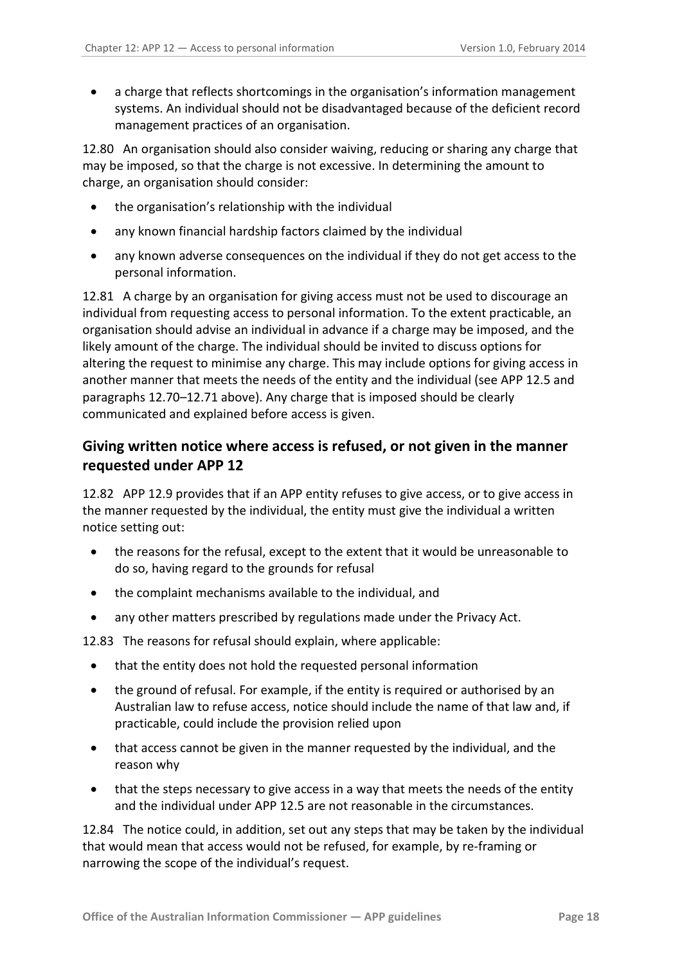• a charge that reflects shortcomings in the organisation's information management systems. An individual should not be disadvantaged because of the deficient record management practices of an organisation.

12.80 An organisation should also consider waiving, reducing or sharing any charge that may be imposed, so that the charge is not excessive. In determining the amount to charge, an organisation should consider:

- the organisation's relationship with the individual
- any known financial hardship factors claimed by the individual
- any known adverse consequences on the individual if they do not get access to the personal information.

<span id="page-17-1"></span>12.81 A charge by an organisation for giving access must not be used to discourage an individual from requesting access to personal information. To the extent practicable, an organisation should advise an individual in advance if a charge may be imposed, and the likely amount of the charge. The individual should be invited to discuss options for altering the request to minimise any charge. This may include options for giving access in another manner that meets the needs of the entity and the individual (see APP 12.5 and paragraphs [12.70](#page-15-3)[–12.71](#page-15-4) above). Any charge that is imposed should be clearly communicated and explained before access is given.

#### <span id="page-17-0"></span>**Giving written notice where access is refused, or not given in the manner requested under APP 12**

<span id="page-17-2"></span>12.82 APP 12.9 provides that if an APP entity refuses to give access, or to give access in the manner requested by the individual, the entity must give the individual a written notice setting out:

- the reasons for the refusal, except to the extent that it would be unreasonable to do so, having regard to the grounds for refusal
- the complaint mechanisms available to the individual, and
- any other matters prescribed by regulations made under the Privacy Act.

12.83 The reasons for refusal should explain, where applicable:

- that the entity does not hold the requested personal information
- the ground of refusal. For example, if the entity is required or authorised by an Australian law to refuse access, notice should include the name of that law and, if practicable, could include the provision relied upon
- that access cannot be given in the manner requested by the individual, and the reason why
- that the steps necessary to give access in a way that meets the needs of the entity and the individual under APP 12.5 are not reasonable in the circumstances.

12.84 The notice could, in addition, set out any steps that may be taken by the individual that would mean that access would not be refused, for example, by re-framing or narrowing the scope of the individual's request.